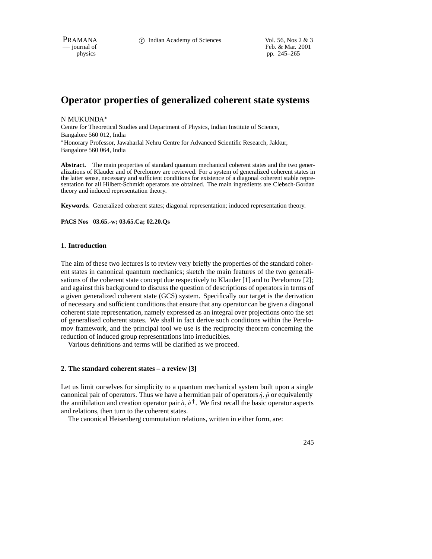PRAMANA 
<sup>c</sup> Indian Academy of Sciences Vol. 56, Nos 2 & 3<br>  $-$  journal of Feb. & Mar. 2001 Feb. & Mar. 2001 physics pp. 245–265

# **Operator properties of generalized coherent state systems**

N MUKUNDA

Centre for Theoretical Studies and Department of Physics, Indian Institute of Science, Bangalore 560 012, India Honorary Professor, Jawaharlal Nehru Centre for Advanced Scientific Research, Jakkur, Bangalore 560 064, India

**Abstract.** The main properties of standard quantum mechanical coherent states and the two generalizations of Klauder and of Perelomov are reviewed. For a system of generalized coherent states in the latter sense, necessary and sufficient conditions for existence of a diagonal coherent stable representation for all Hilbert-Schmidt operators are obtained. The main ingredients are Clebsch-Gordan theory and induced representation theory.

**Keywords.** Generalized coherent states; diagonal representation; induced representation theory.

**PACS Nos 03.65.-w; 03.65.Ca; 02.20.Qs**

### **1. Introduction**

The aim of these two lectures is to review very briefly the properties of the standard coherent states in canonical quantum mechanics; sketch the main features of the two generalisations of the coherent state concept due respectively to Klauder [1] and to Perelomov [2]; and against this background to discuss the question of descriptions of operators in terms of a given generalized coherent state (GCS) system. Specifically our target is the derivation of necessary and sufficient conditions that ensure that any operator can be given a diagonal coherent state representation, namely expressed as an integral over projections onto the set of generalised coherent states. We shall in fact derive such conditions within the Perelomov framework, and the principal tool we use is the reciprocity theorem concerning the reduction of induced group representations into irreducibles.

Various definitions and terms will be clarified as we proceed.

# **2. The standard coherent states – a review [3]**

Let us limit ourselves for simplicity to a quantum mechanical system built upon a single canonical pair of operators. Thus we have a hermitian pair of operators  $\hat{q}$ ,  $\hat{p}$  or equivalently the annihilation and creation operator pair  $\hat{a}$ ,  $\hat{a}^{\dagger}$ . We first recall the basic operator aspects and relations, then turn to the coherent states.

The canonical Heisenberg commutation relations, written in either form, are:

245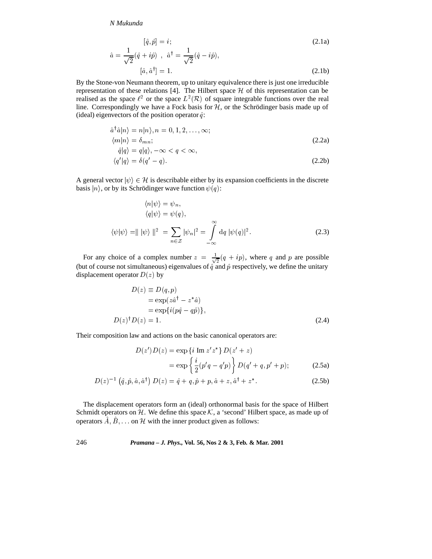$$
[\hat{q}, \hat{p}] = i; \tag{2.1a}
$$
  

$$
\hat{a} = \frac{1}{\sqrt{2}} (\hat{q} + i\hat{p}) , \ \hat{a}^{\dagger} = \frac{1}{\sqrt{2}} (\hat{q} - i\hat{p}), \tag{2.1b}
$$
  

$$
[\hat{a}, \hat{a}^{\dagger}] = 1. \tag{2.1b}
$$

By the Stone-von Neumann theorem, up to unitary equivalence there is just one irreducible representation of these relations [4]. The Hilbert space  $H$  of this representation can be realised as the space  $\ell^2$  or the space  $L^2(\mathcal{R})$  of square integrable functions over the real line. Correspondingly we have a Fock basis for  $H$ , or the Schrödinger basis made up of (ideal) eigenvectors of the position operator  $\hat{q}$ :

$$
\hat{a}^{\dagger} \hat{a} |n\rangle = n |n\rangle, n = 0, 1, 2, \dots, \infty; \langle m | n \rangle = \delta_{mn}; \n\hat{q} |q\rangle = q |q\rangle, -\infty < q < \infty,
$$
\n(2.2a)

$$
\langle q' | q \rangle = \delta(q' - q). \tag{2.2b}
$$

A general vector  $|\psi\rangle \in \mathcal{H}$  is describable either by its expansion coefficients in the discrete basis  $|n\rangle$ , or by its Schrödinger wave function  $\psi(q)$ :

$$
\langle n|\psi\rangle = \psi_n,
$$
  
\n
$$
\langle q|\psi\rangle = \psi(q),
$$
  
\n
$$
\langle \psi|\psi\rangle = ||\psi\rangle||^2 = \sum_{n \in \mathcal{Z}} |\psi_n|^2 = \int_{-\infty}^{\infty} dq |\psi(q)|^2.
$$
\n(2.3)

For any choice of a complex number  $z = \frac{1}{\sqrt{2}}(q + ip)$ ,  $\frac{1}{2}(q + ip)$ , where q and p are possible (but of course not simultaneous) eigenvalues of  $\hat{q}$  and  $\hat{p}$  respectively, we define the unitary displacement operator  $D(z)$  by

$$
D(z) \equiv D(q, p)
$$
  
=  $\exp(z\hat{a}^{\dagger} - z^*\hat{a})$   
=  $\exp\{i(p\hat{q} - q\hat{p})\},$   

$$
D(z)^{\dagger}D(z) = 1.
$$
 (2.4)

Their composition law and actions on the basic canonical operators are:

$$
D(z')D(z) = \exp \{i \text{ Im } z'z^* \} D(z'+z)
$$
  
= 
$$
\exp \{\frac{i}{2}(p'q - q'p) \} D(q' + q, p' + p);
$$
 (2.5a)

$$
D(z)^{-1} (\hat{q}, \hat{p}, \hat{a}, \hat{a}^{\dagger}) D(z) = \hat{q} + q, \hat{p} + p, \hat{a} + z, \hat{a}^{\dagger} + z^*.
$$
 (2.5b)

The displacement operators form an (ideal) orthonormal basis for the space of Hilbert Schmidt operators on  $H$ . We define this space  $K$ , a 'second' Hilbert space, as made up of operators  $A, B, \ldots$  on H with the inner product given as follows: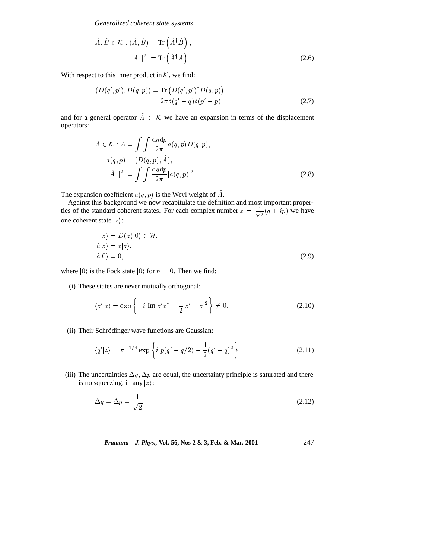*Generalized coherent state systems*

$$
\hat{A}, \hat{B} \in \mathcal{K} : (\hat{A}, \hat{B}) = \text{Tr}(\hat{A}^{\dagger} \hat{B}),
$$
  

$$
\|\hat{A}\|^2 = \text{Tr}(\hat{A}^{\dagger} \hat{A}).
$$
 (2.6)

With respect to this inner product in  $K$ , we find:

$$
(D(q', p'), D(q, p)) = \text{Tr} (D(q', p')^{\dagger} D(q, p))
$$
  
=  $2\pi \delta(q' - q) \delta(p' - p)$  (2.7)

and for a general operator  $A \in \mathcal{K}$  we have an expansion in terms of the displacement operators:

$$
\hat{A} \in \mathcal{K} : \hat{A} = \int \int \frac{\mathrm{d}q \mathrm{d}p}{2\pi} a(q, p) D(q, p),
$$
  
\n
$$
a(q, p) = (D(q, p), \hat{A}),
$$
  
\n
$$
\|\hat{A}\|^2 = \int \int \frac{\mathrm{d}q \mathrm{d}p}{2\pi} |a(q, p)|^2.
$$
\n(2.8)

The expansion coefficient  $a(q, p)$  is the Weyl weight of  $\hat{A}$ .

Against this background we now recapitulate the definition and most important properties of the standard coherent states. For each complex number  $z = \frac{1}{\sqrt{2}}(q + ip)$  w  $\frac{1}{2}(q + ip)$  we have one coherent state  $|z\rangle$ :

$$
|z\rangle = D(z)|0\rangle \in \mathcal{H},
$$
  
\n
$$
\hat{a}|z\rangle = z|z\rangle,
$$
  
\n
$$
\hat{a}|0\rangle = 0,
$$
\n(2.9)

where  $|0\rangle$  is the Fock state  $|0\rangle$  for  $n = 0$ . Then we find:

(i) These states are never mutually orthogonal:

$$
\langle z'|z \rangle = \exp\left\{-i \operatorname{Im} z' z^* - \frac{1}{2}|z'-z|^2\right\} \neq 0. \tag{2.10}
$$

(ii) Their Schrödinger wave functions are Gaussian:

$$
\langle q'|z \rangle = \pi^{-1/4} \exp\left\{ i p(q'-q/2) - \frac{1}{2}(q'-q)^2 \right\}.
$$
 (2.11)

(iii) The uncertainties  $\Delta q$ ,  $\Delta p$  are equal, the uncertainty principle is saturated and there is no squeezing, in any  $|z\rangle$ :

$$
\Delta q = \Delta p = \frac{1}{\sqrt{2}}.\tag{2.12}
$$

*Pramana – J. Phys.,* **Vol. 56, Nos 2 & 3, Feb. & Mar. 2001** 247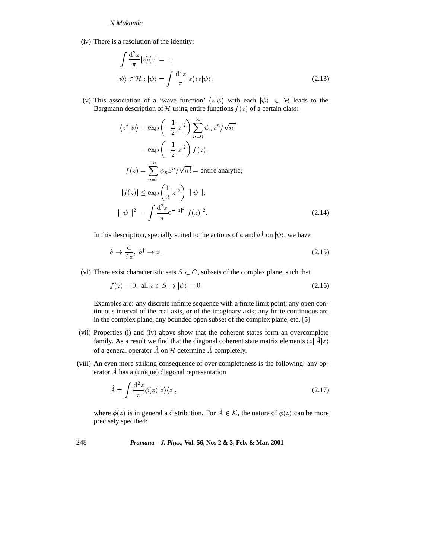(iv) There is a resolution of the identity:

$$
\int \frac{d^2 z}{\pi} |z\rangle\langle z| = 1; |\psi\rangle \in \mathcal{H} : |\psi\rangle = \int \frac{d^2 z}{\pi} |z\rangle\langle z|\psi\rangle.
$$
 (2.13)

(v) This association of a 'wave function'  $\langle z | \psi \rangle$  with each  $| \psi \rangle \in \mathcal{H}$  leads to the Bargmann description of H using entire functions  $f(z)$  of a certain class:

$$
\langle z^* | \psi \rangle = \exp\left(-\frac{1}{2}|z|^2\right) \sum_{n=0}^{\infty} \psi_n z^n / \sqrt{n!}
$$

$$
= \exp\left(-\frac{1}{2}|z|^2\right) f(z),
$$

$$
f(z) = \sum_{n=0}^{\infty} \psi_n z^n / \sqrt{n!} = \text{entire analytic};
$$

$$
|f(z)| \le \exp\left(\frac{1}{2}|z|^2\right) || \psi ||;
$$

$$
|| \psi ||^2 = \int \frac{d^2 z}{\pi} e^{-|z|^2} |f(z)|^2.
$$
(2.14)

In this description, specially suited to the actions of  $\hat{a}$  and  $\hat{a}^\dagger$  on  $|\psi\rangle$ , we have

$$
\hat{a} \to \frac{\mathrm{d}}{\mathrm{d}z}, \ \hat{a}^{\dagger} \to z. \tag{2.15}
$$

(vi) There exist characteristic sets  $S \subset C$ , subsets of the complex plane, such that

$$
f(z) = 0, \text{ all } z \in S \Rightarrow |\psi\rangle = 0. \tag{2.16}
$$

 $f(z) = 0$ , all  $z \in S \Rightarrow |\psi\rangle = 0$ . (2.16)<br>Examples are: any discrete infinite sequence with a finite limit point; any open continuous interval of the real axis, or of the imaginary axis; any finite continuous arc in the complex plane, any bounded open subset of the complex plane, etc. [5]

- (vii) Properties (i) and (iv) above show that the coherent states form an overcomplete family. As a result we find that the diagonal coherent state matrix elements  $\langle z|\hat{A}|z\rangle$ of a general operator  $\ddot{A}$  on  $\mathcal H$  determine  $\ddot{A}$  completely.
- (viii) An even more striking consequence of over completeness is the following: any operator A^ has a (unique) diagonal representation

$$
\hat{A} = \int \frac{\mathrm{d}^2 z}{\pi} \phi(z) |z\rangle\langle z|,\tag{2.17}
$$

where  $\phi(z)$  is in general a distribution. For  $A \in \mathcal{K}$ , the nature of  $\phi(z)$  can be more precisely specified: precisely specified: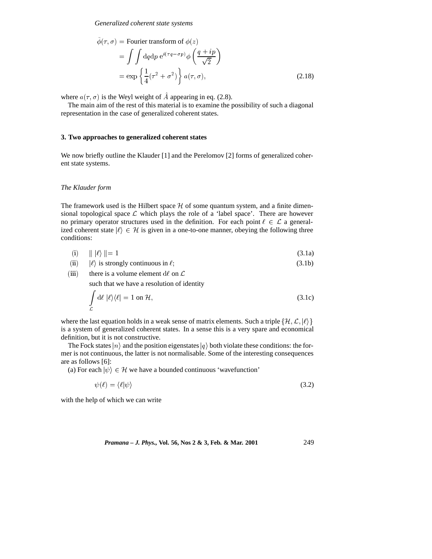*Generalized coherent state systems*

$$
\tilde{\phi}(\tau,\sigma) = \text{Fourier transform of } \phi(z)
$$
\n
$$
= \int \int \mathrm{d}q \mathrm{d}p \, e^{i(\tau q - \sigma p)} \phi \left( \frac{q + ip}{\sqrt{2}} \right)
$$
\n
$$
= \exp \left\{ \frac{1}{4} (\tau^2 + \sigma^2) \right\} a(\tau,\sigma), \tag{2.18}
$$

where  $a(\tau, \sigma)$  is the Weyl weight of A appearing in eq. (2.8).

The main aim of the rest of this material is to examine the possibility of such a diagonal representation in the case of generalized coherent states.

### **3. Two approaches to generalized coherent states**

We now briefly outline the Klauder [1] and the Perelomov [2] forms of generalized coherent state systems.

### *The Klauder form*

The framework used is the Hilbert space  $H$  of some quantum system, and a finite dimensional topological space  $\mathcal L$  which plays the role of a 'label space'. There are however no primary operator structures used in the definition. For each point  $\ell \in \mathcal{L}$  a generalized coherent state  $|\ell\rangle \in \mathcal{H}$  is given in a one-to-one manner, obeying the following three conditions:

|      | (i) $   \ell \rangle    = 1$                      | (3.1a) |
|------|---------------------------------------------------|--------|
| (ii) | $ \ell\rangle$ is strongly continuous in $\ell$ ; | (3.1b) |

(ii) 
$$
|\ell\rangle
$$
 is strongly continuous in  $\ell$ ; (3.1b)

(iii) there is a volume element d $\ell$  on  $\mathcal L$ 

such that we have a resolution of identity

$$
\int_{\mathcal{L}} d\ell \, |\ell\rangle \langle \ell| = 1 \text{ on } \mathcal{H},\tag{3.1c}
$$

where the last equation holds in a weak sense of matrix elements. Such a triple  $\{\mathcal{H}, \mathcal{L}, |\ell\rangle\}$ is a system of generalized coherent states. In a sense this is a very spare and economical definition, but it is not constructive.

The Fock states  $|n\rangle$  and the position eigenstates  $|q\rangle$  both violate these conditions: the former is not continuous, the latter is not normalisable. Some of the interesting consequences are as follows [6]:

(a) For each  $|\psi\rangle \in \mathcal{H}$  we have a bounded continuous 'wavefunction'

$$
\psi(\ell) = \langle \ell | \psi \rangle \tag{3.2}
$$

with the help of which we can write

*Pramana – J. Phys.,* **Vol. 56, Nos 2 & 3, Feb. & Mar. 2001** 249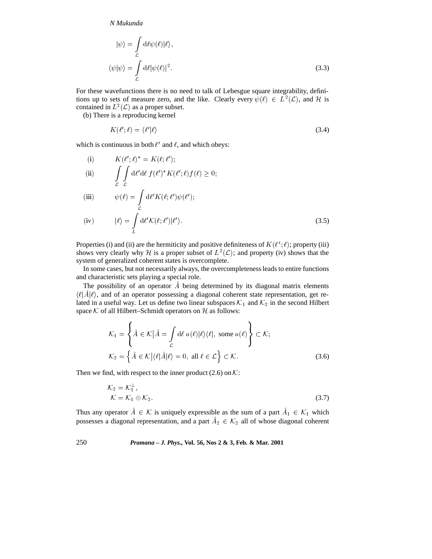$$
|\psi\rangle = \int_{\mathcal{L}} d\ell \psi(\ell)|\ell\rangle,
$$
  

$$
\langle \psi | \psi \rangle = \int_{\mathcal{L}} d\ell |\psi(\ell)|^2.
$$
 (3.3)

For these wavefunctions there is no need to talk of Lebesgue square integrability, definitions up to sets of measure zero, and the like. Clearly every  $\psi(\ell) \in L^2(\mathcal{L})$ , and H is contained in  $L^2(\mathcal{L})$  as a proper subset.

(b) There is a reproducing kernel

$$
K(\ell';\ell) = \langle \ell' | \ell \rangle \tag{3.4}
$$

which is continuous in both  $\ell'$  and  $\ell$ , and which obeys:

(i) 
$$
K(\ell'; \ell)^* = K(\ell; \ell');
$$
\n(ii) 
$$
\int_{\mathcal{L}} \int d\ell' d\ell f(\ell')^* K(\ell'; \ell) f(\ell) \ge 0;
$$
\n(iii) 
$$
\psi(\ell) = \int_{\mathcal{L}} d\ell' K(\ell; \ell') \psi(\ell');
$$
\n(iv) 
$$
|\ell\rangle = \int d\ell' K(\ell; \ell') |\ell'\rangle.
$$
\n(3.5)

Properties (i) and (ii) are the hermiticity and positive definiteness of  $K(\ell'; \ell)$ ; property (iii) shows very clearly why H is a proper subset of  $L^2(\mathcal{L})$ ; and property (iv) shows that the system of generalized coherent states is overcomplete.

In some cases, but not necessarily always, the overcompleteness leads to entire functions and characteristic sets playing a special role.

The possibility of an operator  $\tilde{A}$  being determined by its diagonal matrix elements  $\langle \ell | \hat{A} | \ell \rangle$ , and of an operator possessing a diagonal coherent state representation, get related in a useful way. Let us define two linear subspaces  $\mathcal{K}_1$  and  $\mathcal{K}_2$  in the second Hilbert space  $K$  of all Hilbert–Schmidt operators on  $H$  as follows:

$$
\mathcal{K}_1 = \left\{ \hat{A} \in \mathcal{K} \middle| \hat{A} = \int_{\mathcal{L}} d\ell \ a(\ell) \middle| \ell \rangle \langle \ell \middle|, \text{ some } a(\ell) \right\} \subset \mathcal{K};
$$
\n
$$
\mathcal{K}_2 = \left\{ \hat{A} \in \mathcal{K} \middle| \langle \ell | \hat{A} | \ell \rangle = 0, \text{ all } \ell \in \mathcal{L} \right\} \subset \mathcal{K}.
$$
\nand with respect to the inner product (2.6) on  $\mathcal{K}$ :

\n(3.6)

Then we find, with respect to the inner product (2.6) on  $K$ :

$$
\mathcal{K}_2 = \mathcal{K}_1^{\perp},
$$
  
\n
$$
\mathcal{K} = \mathcal{K}_1 \oplus \mathcal{K}_2.
$$
  
\nThus any operator  $\hat{A} \in \mathcal{K}$  is uniquely expressible as the sum of a part  $\hat{A}_1 \in \mathcal{K}_1$  which

possesses a diagonal representation, and a part  $A_2 \in \mathcal{K}_2$  all of whose diagonal coherent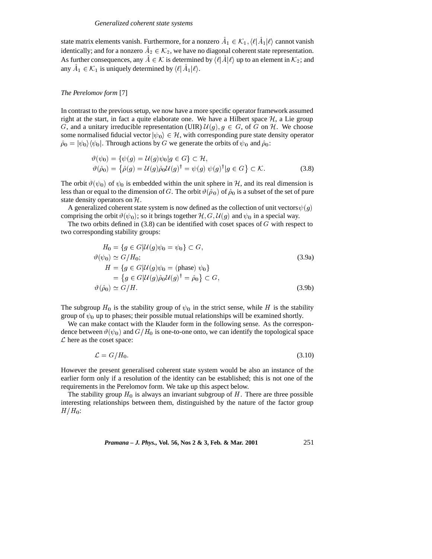state matrix elements vanish. Furthermore, for a nonzero  $A_1 \in \mathcal{K}_1$ ,  $\langle \ell | \hat{A}_1 | \ell \rangle$  cannot vanish Example 1 and 1x elements vanish. Furthermore, for a nonzero  $A_1 \in \mathcal{K}_1$ ,  $\{e[A_1]e\}$  cannidentically; and for a nonzero  $A_2 \in \mathcal{K}_2$ , we have no diagonal coherent state representing identically; and for a nonzero  $A_2 \in \mathcal{K}_2$ , we have no diagonal coherent state representation.<br>As further consequences, any  $\hat{A} \in \mathcal{K}$  is determined by  $\langle \ell | \hat{A} | \ell \rangle$  up to an element in  $\mathcal{K}_2$ ; and any  $\hat{$ any  $A_1 \in \mathcal{K}_1$  is uniquely determined by  $\langle \ell | A_1 | \ell \rangle$ .

### *The Perelomov form* [7]

In contrast to the previous setup, we now have a more specific operator framework assumed right at the start, in fact a quite elaborate one. We have a Hilbert space  $H$ , a Lie group G, and a unitary irreducible representation (UIR)  $\mathcal{U}(g), g \in G$ , of G on H. We choose some normalised fiducial vector  $|\psi_0\rangle \in \mathcal{H}$ , with corresponding pure state density operator  $\hat{\rho}_0 = |\psi_0\rangle\langle \psi_0|$ . Through actions by G we generate the orbits of  $\psi_0$  and  $\hat{\rho}_0$ :

$$
\vartheta(\psi_0) = \{ \psi(g) = \mathcal{U}(g)\psi_0 | g \in G \} \subset \mathcal{H},
$$
  

$$
\vartheta(\hat{\rho}_0) = \{ \hat{\rho}(g) = \mathcal{U}(g)\hat{\rho}_0 \mathcal{U}(g)^\dagger = \psi(g) \psi(g)^\dagger | g \in G \} \subset \mathcal{K}.
$$
 (3.8)

 $\vartheta(\hat{\rho}_0) = \{ \hat{\rho}(g) = \mathcal{U}(g) \hat{\rho}_0 \mathcal{U}(g)^\dagger = \psi(g) \psi(g)^\dagger | g \in G \} \subset \mathcal{K}.$  (3.8)<br>The orbit  $\vartheta(\psi_0)$  of  $\psi_0$  is embedded within the unit sphere in  $\mathcal{H}$ , and its real dimension is less than or equal to the dimension of G. The orbit  $\vartheta(\hat{\rho}_0)$  of  $\hat{\rho}_0$  is a subset of the set of pure state density operators on  $H$ .

A generalized coherent state system is now defined as the collection of unit vectors  $\psi(g)$ comprising the orbit  $\vartheta(\psi_0)$ ; so it brings together  $\mathcal{H}, G, \mathcal{U}(g)$  and  $\psi_0$  in a special way.

The two orbits defined in  $(3.8)$  can be identified with coset spaces of  $G$  with respect to two corresponding stability groups:

$$
H_0 = \{g \in G | \mathcal{U}(g)\psi_0 = \psi_0\} \subset G,
$$
  
\n
$$
\vartheta(\psi_0) \simeq G/H_0;
$$
  
\n
$$
H = \{g \in G | \mathcal{U}(g)\psi_0 = (\text{phase}) \psi_0\}
$$
  
\n
$$
= \{g \in G | \mathcal{U}(g)\hat{\rho}_0 \mathcal{U}(g)^\dagger = \hat{\rho}_0\} \subset G,
$$
  
\n
$$
\vartheta(\hat{\rho}_0) \simeq G/H.
$$
\n(3.9b)

The subgroup  $H_0$  is the stability group of  $\psi_0$  in the strict sense, while H is the stability group of  $\psi_0$  up to phases; their possible mutual relationships will be examined shortly.

We can make contact with the Klauder form in the following sense. As the correspondence between  $\vartheta(\psi_0)$  and  $G/H_0$  is one-to-one onto, we can identify the topological space  $\mathcal L$  here as the coset space:

$$
\mathcal{L} = G/H_0. \tag{3.10}
$$

However the present generalised coherent state system would be also an instance of the earlier form only if a resolution of the identity can be established; this is not one of the requirements in the Perelomov form. We take up this aspect below.

The stability group  $H_0$  is always an invariant subgroup of H. There are three possible interesting relationships between them, distinguished by the nature of the factor group  $H/H_0$ :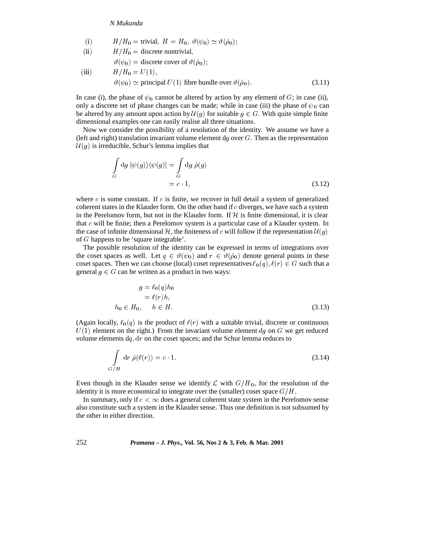(i) 
$$
H/H_0 =
$$
 trivial,  $H = H_0$ ,  $\vartheta(\psi_0) \simeq \vartheta(\hat{\rho}_0)$ ;

(ii) 
$$
H/H_0
$$
 = discrete nontrivial,

$$
\vartheta(\psi_0) = \text{discrete cover of } \vartheta(\hat{\rho}_0);
$$

(iii) 
$$
H/H_0 = U(1)
$$
,  
\n $\vartheta(\psi_0) \simeq$  principal  $U(1)$  fibre bundle over  $\vartheta(\hat{\rho}_0)$ . (3.11)

In case (i), the phase of  $\psi_0$  cannot be altered by action by any element of G; in case (ii), only a discrete set of phase changes can be made; while in case (iii) the phase of  $\psi_0$  can be altered by any amount upon action by  $\mathcal{U}(g)$  for suitable  $g \in G$ . With quite simple finite dimensional examples one can easily realise all three situations.

Now we consider the possibility of a resolution of the identity. We assume we have a (left and right) translation invariant volume element  $dg$  over  $G$ . Then as the representation  $U(g)$  is irreducible, Schur's lemma implies that

$$
\int_{G} dg |\psi(g)\rangle\langle\psi(g)| = \int_{G} dg \hat{\rho}(g)
$$
\n
$$
= c \cdot 1,
$$
\n(3.12)

where c is some constant. If c is finite, we recover in full detail a system of generalized coherent states in the Klauder form. On the other hand if  $c$  diverges, we have such a system in the Perelomov form, but not in the Klauder form. If  $H$  is finite dimensional, it is clear that c will be finite; then a Perelomov system is a particular case of a Klauder system. In the case of infinite dimensional H, the finiteness of c will follow if the representation  $\mathcal{U}(g)$ of G happens to be 'square integrable'.

The possible resolution of the identity can be expressed in terms of integrations over the coset spaces as well. Let  $q \in \vartheta(\psi_0)$  and  $r \in \vartheta(\hat{\rho}_0)$  denote general points in these coset spaces. Then we can choose (local) coset representatives  $\ell_0(q), \ell(r) \in G$  such that a general  $g \in G$  can be written as a product in two ways:

$$
g = \ell_0(q)h_0
$$
  
=  $\ell(r)h$ ,  

$$
h_0 \in H_0, \quad h \in H.
$$
 (3.13)

(Again locally,  $\ell_0(q)$  is the product of  $\ell(r)$  with a suitable trivial, discrete or continuous  $U(1)$  element on the right.) From the invariant volume element dg on G we get reduced volume elements  $dq$ ,  $dr$  on the coset spaces; and the Schur lemma reduces to

$$
\int_{G/H} dr \hat{\rho}(\ell(r)) = c \cdot 1. \tag{3.14}
$$

Even though in the Klauder sense we identify  $\mathcal L$  with  $G/H_0$ , for the resolution of the identity it is more economical to integrate over the (smaller) coset space  $G/H$ .

In summary, only if  $c < \infty$  does a general coherent state system in the Perelomov sense also constitute such a system in the Klauder sense. Thus one definition is not subsumed by the other in either direction.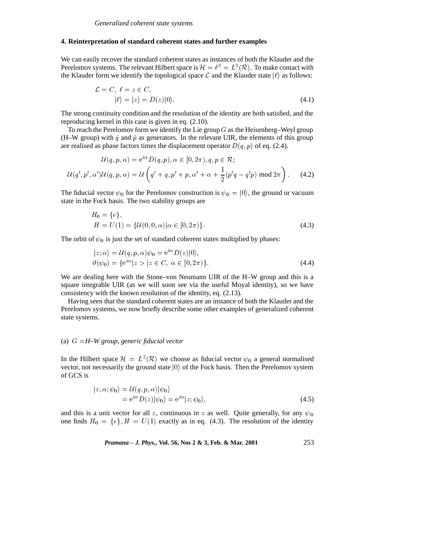### **4. Reinterpretation of standard coherent states and further examples**

We can easily recover the standard coherent states as instances of both the Klauder and the Perelomov systems. The relevant Hilbert space is  $\mathcal{H} = \ell^2 = L^2(\mathcal{R})$ . To make contact with the Klauder form we identify the topological space  $\mathcal L$  and the Klauder state  $|\ell\rangle$  as follows:

$$
\mathcal{L} = C, \quad \ell = z \in C,
$$
  

$$
|\ell\rangle = |z\rangle = D(z)|0\rangle.
$$
 (4.1)

The strong continuity condition and the resolution of the identity are both satisfied, and the reproducing kernel in this case is given in eq. (2.10).

To reach the Perelomov form we identify the Lie group  $G$  as the Heisenberg–Weyl group (H–W group) with  $\hat{q}$  and  $\hat{p}$  as generators. In the relevant UIR, the elements of this group are realised as phase factors times the displacement operator  $D(q, p)$  of eq. (2.4).

$$
\mathcal{U}(q, p, \alpha) = e^{i\alpha} D(q, p), \alpha \in [0, 2\pi), q, p \in \mathcal{R};
$$
  

$$
\mathcal{U}(q', p', \alpha')\mathcal{U}(q, p, \alpha) = \mathcal{U}\left(q' + q, p' + p, \alpha' + \alpha + \frac{1}{2}(p'q - q'p) \mod 2\pi\right).
$$
 (4.2)

The fiducial vector  $\psi_0$  for the Perelomov construction is  $\psi_0 = |0\rangle$ , the ground or vacuum state in the Fock basis. The two stability groups are

$$
H_0 = \{e\},
$$
  
\n
$$
H = U(1) = \{U(0, 0, \alpha) | \alpha \in [0, 2\pi)\}.
$$
\n(4.3)

The orbit of  $\psi_0$  is just the set of standard coherent states multiplied by phases:

$$
|z; \alpha\rangle = \mathcal{U}(q, p, \alpha)\psi_0 = e^{i\alpha}D(z)|0\rangle, \n\vartheta(\psi_0) = \{e^{i\alpha}|z\rangle \ |z \in C, \ \alpha \in [0, 2\pi)\}.
$$
\n(4.4)

We are dealing here with the Stone–von Neumann UIR of the H–W group and this is a square integrable UIR (as we will soon see via the useful Moyal identity), so we have consistency with the known resolution of the identity, eq. (2.13).

Having seen that the standard coherent states are an instance of both the Klauder and the Perelomov systems, we now briefly describe some other examples of generalized coherent state systems.

# (a) G <sup>=</sup>*H–W group, generic fiducial vector*

In the Hilbert space  $\mathcal{H} = L^2(\mathcal{R})$  we choose as fiducial vector  $\psi_0$  a general normalised vector, not necessarily the ground state  $|0\rangle$  of the Fock basis. Then the Perelomov system of GCS is

$$
\begin{aligned} |z,\alpha;\psi_0\rangle &= \mathcal{U}(q,p,\alpha)|\psi_0\rangle \\ &= \mathrm{e}^{i\alpha}D(z)|\psi_0\rangle = \mathrm{e}^{i\alpha}|z;\psi_0\rangle, \end{aligned} \tag{4.5}
$$

and this is a unit vector for all z, continuous in z as well. Quite generally, for any  $\psi_0$ one finds  $H_0 = \{e\}$ ,  $H = U(1)$  exactly as in eq. (4.3). The resolution of the identity

*Pramana – J. Phys.,* **Vol. 56, Nos 2 & 3, Feb. & Mar. 2001** 253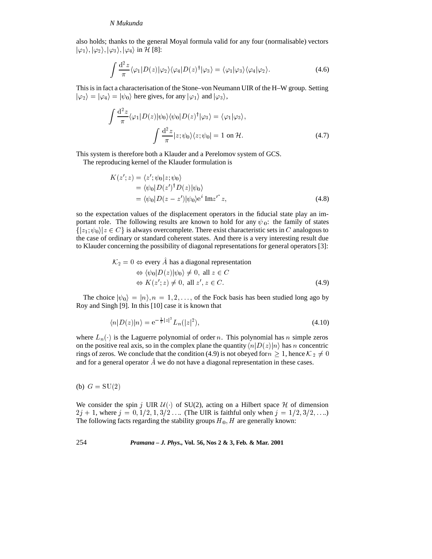also holds; thanks to the general Moyal formula valid for any four (normalisable) vectors  $|\varphi_1\rangle, |\varphi_2\rangle, |\varphi_3\rangle, |\varphi_4\rangle$  in H [8]:

$$
\int \frac{\mathrm{d}^2 z}{\pi} \langle \varphi_1 | D(z) | \varphi_2 \rangle \langle \varphi_4 | D(z)^\dagger | \varphi_3 \rangle = \langle \varphi_1 | \varphi_3 \rangle \langle \varphi_4 | \varphi_2 \rangle. \tag{4.6}
$$

This is in fact a characterisation of the Stone–von Neumann UIR of the H–W group. Setting  $|\varphi_2\rangle = |\varphi_4\rangle = |\psi_0\rangle$  here gives, for any  $|\varphi_1\rangle$  and  $|\varphi_3\rangle$ ,

$$
\int \frac{\mathrm{d}^2 z}{\pi} \langle \varphi_1 | D(z) | \psi_0 \rangle \langle \psi_0 | D(z)^\dagger | \varphi_3 \rangle = \langle \varphi_1 | \varphi_3 \rangle,
$$

$$
\int \frac{\mathrm{d}^2 z}{\pi} |z; \psi_0 \rangle \langle z; \psi_0 | = 1 \text{ on } \mathcal{H}.
$$
(4.7)

This system is therefore both a Klauder and a Perelomov system of GCS.

The reproducing kernel of the Klauder formulation is

$$
K(z'; z) = \langle z'; \psi_0 | z; \psi_0 \rangle
$$
  
=  $\langle \psi_0 | D(z')^{\dagger} D(z) | \psi_0 \rangle$   
=  $\langle \psi_0 | D(z - z') | \psi_0 \rangle e^i \operatorname{Im} z^{i*} z,$  (4.8)

so the expectation values of the displacement operators in the fiducial state play an important role. The following results are known to hold for any  $\psi_0$ : the family of states  $\{|z_1; \psi_0\rangle | z \in C\}$  is always overcomplete. There exist characteristic sets in C analogous to the case of ordinary or standard coherent states. And there is a very interesting result due to Klauder concerning the possibility of diagonal representations for general operators [3]:

$$
\mathcal{K}_2 = 0 \Leftrightarrow \text{every } A \text{ has a diagonal representation}
$$
  
\n
$$
\Leftrightarrow \langle \psi_0 | D(z) | \psi_0 \rangle \neq 0, \text{ all } z \in C
$$
  
\n
$$
\Leftrightarrow K(z'; z) \neq 0, \text{ all } z', z \in C.
$$
 (4.9)

The choice  $|\psi_0\rangle = |n\rangle, n = 1, 2, \dots$ , of the Fock basis has been studied long ago by Roy and Singh [9]. In this [10] case it is known that

$$
\langle n|D(z)|n\rangle = e^{-\frac{1}{2}|z|^2}L_n(|z|^2),\tag{4.10}
$$

where  $L_n(\cdot)$  is the Laguerre polynomial of order n. This polynomial has n simple zeros on the positive real axis, so in the complex plane the quantity  $\langle n|D(z)|n\rangle$  has n concentric rings of zeros. We conclude that the condition (4.9) is not obeyed for  $n \geq 1$ , hence  $\mathcal{K}_2 \neq 0$ and for a general operator  $\hat{A}$  we do not have a diagonal representation in these cases.

(b)  $G = SU(2)$ 

We consider the spin j UIR  $\mathcal{U}(\cdot)$  of SU(2), acting on a Hilbert space  $\mathcal{H}$  of dimension  $2j + 1$ , where  $j = 0, 1/2, 1, 3/2...$  (The UIR is faithful only when  $j = 1/2, 3/2,...$ ) The following facts regarding the stability groups  $H_0$ , H are generally known: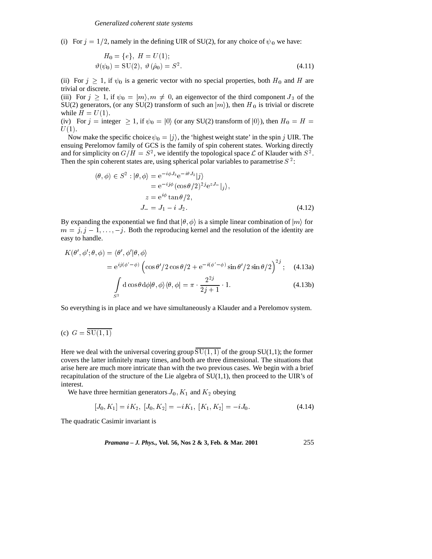(i) For  $j = 1/2$ , namely in the defining UIR of SU(2), for any choice of  $\psi_0$  we have:

$$
H_0 = \{e\}, H = U(1);
$$
  
\n
$$
\vartheta(\psi_0) = \text{SU}(2), \ \vartheta(\hat{\rho}_0) = S^2.
$$
\n(4.11)

(ii) For  $j \geq 1$ , if  $\psi_0$  is a generic vector with no special properties, both  $H_0$  and H are trivial or discrete.

(iii) For  $j \geq 1$ , if  $\psi_0 = |m\rangle$ ,  $m \neq 0$ , an eigenvector of the third component  $J_3$  of the SU(2) generators, (or any SU(2) transform of such an  $|m\rangle$ ), then H<sub>0</sub> is trivial or discrete while  $H = U(1)$ .

(iv) For  $j =$  integer  $\geq 1$ , if  $\psi_0 = |0\rangle$  (or any SU(2) transform of  $|0\rangle$ ), then  $H_0 = H =$  $U(1)$ .

Now make the specific choice  $\psi_0 = |j\rangle$ , the 'highest weight state' in the spin j UIR. The ensuing Perelomov family of GCS is the family of spin coherent states. Working directly and for simplicity on  $G/H = S^2$ , we identify the topological space  $\mathcal L$  of Klauder with  $S^2$ . Then the spin coherent states are, using spherical polar variables to parametrise  $S<sup>2</sup>$ :

$$
(\theta, \phi) \in S^2 : |\theta, \phi\rangle = e^{-i\phi J_3} e^{-i\theta J_2} |j\rangle
$$
  
=  $e^{-ij\phi} (\cos \theta/2)^{2j} e^{zJ_-} |j\rangle$ ,  
 $z = e^{i\phi} \tan \theta/2$ ,  
 $J_- = J_1 - i J_2.$  (4.12)

By expanding the exponential we find that  $|\theta, \phi\rangle$  is a simple linear combination of  $|m\rangle$  for  $m = j, j - 1, \ldots, -j$ . Both the reproducing kernel and the resolution of the identity are easy to handle.

$$
K(\theta', \phi'; \theta, \phi) = \langle \theta', \phi' | \theta, \phi \rangle
$$
  
=  $e^{ij(\phi' - \phi)} \left( \cos \theta' / 2 \cos \theta / 2 + e^{-i(\phi' - \phi)} \sin \theta' / 2 \sin \theta / 2 \right)^{2j}$ ; (4.13a)

$$
\int_{S^2} d\cos\theta d\phi |\theta, \phi\rangle\langle\theta, \phi| = \pi \cdot \frac{2^{2j}}{2j+1} \cdot 1.
$$
\n(4.13b)

So everything is in place and we have simultaneously a Klauder and a Perelomov system.

(c) 
$$
G = \overline{SU(1,1)}
$$

Here we deal with the universal covering group  $\overline{SU(1,1)}$  of the group  $SU(1,1)$ ; the former covers the latter infinitely many times, and both are three dimensional. The situations that arise here are much more intricate than with the two previous cases. We begin with a brief recapitulation of the structure of the Lie algebra of  $SU(1,1)$ , then proceed to the UIR's of interest.

We have three hermitian generators  $J_0$ ,  $K_1$  and  $K_2$  obeying

$$
[J_0, K_1] = iK_2, [J_0, K_2] = -iK_1, [K_1, K_2] = -iJ_0.
$$
\n(4.14)

The quadratic Casimir invariant is

*Pramana – J. Phys.,* **Vol. 56, Nos 2 & 3, Feb. & Mar. 2001** 255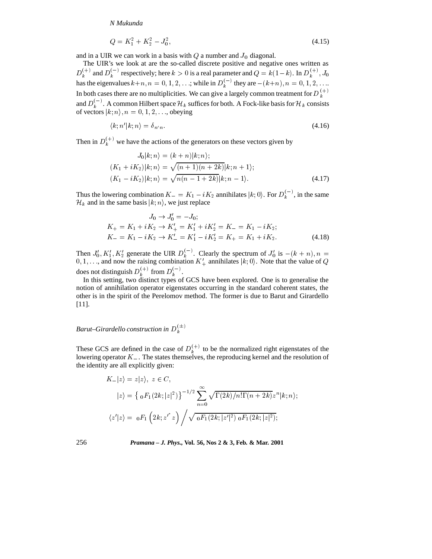$$
Q = K_1^2 + K_2^2 - J_0^2,\tag{4.15}
$$

and in a UIR we can work in a basis with  $Q$  a number and  $J_0$  diagonal.

The UIR's we look at are the so-called discrete positive and negative ones written as  $D_k^{(+)}$  and  $D_k^{(-)}$  respectively; here  $k > 0$  is a real parameter and  $Q = k(1-k)$ . In  $D_k^{(+)}$ ,  $J_0$  has the eigenvalues  $k+n$ ,  $n = 0, 1, 2, \ldots$ ; while in  $D_k^{(-)}$  they are  $-(k+n)$ ,  $n = 0, 1, 2, \ldots$ . In both cases there are no multiplicities. We can give a largely common treatment for  $D_k^{(+)}$ and  $D_k^{(-)}$ . A common Hilbert space  $\mathcal{H}_k$  suffices for both. A Fock-like basis for  $\mathcal{H}_k$  consists of vectors  $|k; n\rangle$ ,  $n = 0, 1, 2, \ldots$ , obeying

$$
\langle k; n'|k; n \rangle = \delta_{n'n}.\tag{4.16}
$$

Then in  $D_k^{(+)}$  we have the actions of the generators on these vectors given by

$$
J_0|k; n\rangle = (k+n)|k; n\rangle;
$$
  
\n
$$
(K_1 + iK_2)|k; n\rangle = \sqrt{(n+1)(n+2k)}|k; n+1\rangle;
$$
  
\n
$$
(K_1 - iK_2)|k; n\rangle = \sqrt{n(n-1+2k)}|k; n-1\rangle.
$$
\n(4.17)

Thus the lowering combination  $K = K_1 - iK_2$  annihilates  $|k; 0\rangle$ . For  $D_k^{(-)}$ , in the same  $\mathcal{H}_k$  and in the same basis  $|k; n\rangle$ , we just replace

$$
J_0 \to J'_0 = -J_0;
$$
  
\n
$$
K_+ = K_1 + iK_2 \to K'_+ = K'_1 + iK'_2 = K_- = K_1 - iK_2;
$$
  
\n
$$
K_- = K_1 - iK_2 \to K'_- = K'_1 - iK'_2 = K_+ = K_1 + iK_2.
$$
\n(4.18)

Then  $J'_0, K'_1, K'_2$  generate the UIR  $D_k^{(-)}$ . Clearly the spectrum of  $J'_0$  is  $-(k + n), n =$  $0, 1, \ldots$ , and now the raising combination  $K'_{+}$  annihilates  $|k; 0\rangle$ . Note that the value of Q does not distinguish  $D_k^{(+)}$  from  $D_k^{(-)}$ .

In this setting, two distinct types of GCS have been explored. One is to generalise the notion of annihilation operator eigenstates occurring in the standard coherent states, the other is in the spirit of the Perelomov method. The former is due to Barut and Girardello [11].

*Barut–Girardello construction in*  $D_k^{(\pm)}$ 

These GCS are defined in the case of  $D_k^{(+)}$  to be the normalized right eigenstates of the lowering operator  $K_{-}$ . The states themselves, the reproducing kernel and the resolution of the identity are all explicitly given:

$$
K_{-}|z\rangle = z|z\rangle, \ z \in C,
$$
  
\n
$$
|z\rangle = \left\{ \ _{0}F_{1}(2k;|z|^{2}) \right\}^{-1/2} \sum_{n=0}^{\infty} \sqrt{\Gamma(2k)/n!\Gamma(n+2k)} z^{n} |k;n\rangle;
$$
  
\n
$$
\left\langle z'|z\right\rangle = \ _{0}F_{1}\left(2k;{z'}^{*}z\right) / \sqrt{\ _{0}F_{1}(2k;|z'|^{2}) \ _{0}F_{1}(2k;|z|^{2})};
$$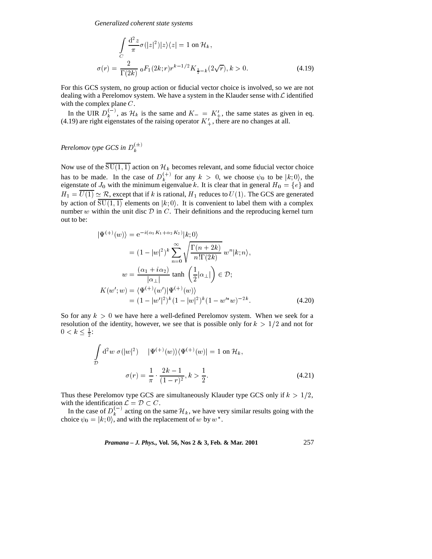*Generalized coherent state systems*

$$
\int_{C} \frac{d^2 z}{\pi} \sigma(|z|^2)|z\rangle\langle z| = 1 \text{ on } \mathcal{H}_k,
$$
\n
$$
\sigma(r) = \frac{2}{\Gamma(2k)} \, {}_0F_1(2k; r)r^{k-1/2} K_{\frac{1}{2}-k}(2\sqrt{r}), k > 0. \tag{4.19}
$$

For this GCS system, no group action or fiducial vector choice is involved, so we are not dealing with a Perelomov system. We have a system in the Klauder sense with  ${\mathcal L}$  identified with the complex plane C.

In the UIR  $D_k^{(-)}$ , as  $\mathcal{H}_k$  is the same and  $K = K'_+$ , the same states as given in eq. (4.19) are right eigenstates of the raising operator  $K'_{+}$ , there are no changes at all.

# *Perelomov type GCS in*  $D_k^{(\pm)}$

Now use of the SU(1, 1) action on  $\mathcal{H}_k$  becomes relevant, and some fiducial vector choice has to be made. In the case of  $D_k^{(+)}$  for any  $k > 0$ , we choose  $\psi_0$  to be  $|k; 0\rangle$ , the eigenstate of  $J_0$  with the minimum eigenvalue k. It is clear that in general  $H_0 = \{e\}$  and  $H_1 = U(1) \simeq \mathcal{R}$ , except that if k is rational,  $H_1$  reduces to  $U(1)$ . The GCS are generated<br>by action of  $\overline{SU(1,1)}$  elements on  $|k; 0\rangle$ . It is convenient to label them with a complex<br>mumber w within the writ di number w within the unit disc  $D$  in  $C$ . Their definitions and the reproducing kernel turn out to be:

$$
|\Psi^{(+)}(w)\rangle = e^{-i(\alpha_1 K_1 + \alpha_2 K_2)}|k;0\rangle
$$
  
\n
$$
= (1 - |w|^2)^k \sum_{n=0}^{\infty} \sqrt{\frac{\Gamma(n + 2k)}{n!\Gamma(2k)}} w^n |k; n\rangle,
$$
  
\n
$$
w = \frac{(\alpha_1 + i\alpha_2)}{|\alpha_1|} \tanh\left(\frac{1}{2}|\alpha_1|\right) \in \mathcal{D};
$$
  
\n
$$
K(w'; w) = \langle \Psi^{(+)}(w') | \Psi^{(+)}(w) \rangle
$$
  
\n
$$
= (1 - |w'|^2)^k (1 - |w|^2)^k (1 - w'^* w)^{-2k}.
$$
\n(4.20)

 $= (1 - |w|^{-})^{2} (1 - |w|^{-})^{3} (1 - w - w)$ <br>So for any  $k > 0$  we have here a well-defined Perelomov system. When we seek for a resolution of the identity, however, we see that is possible only for  $k > 1/2$  and not for  $0 < k \leq \frac{1}{2}$ :

$$
\int_{\mathcal{D}} d^2w \ \sigma(|w|^2) \qquad |\Psi^{(+)}(w)\rangle\langle\Psi^{(+)}(w)| = 1 \text{ on } \mathcal{H}_k,
$$
\n
$$
\sigma(r) = \frac{1}{\pi} \cdot \frac{2k - 1}{(1 - r)^2}, k > \frac{1}{2}.
$$
\n(4.21)

Thus these Perelomov type GCS are simultaneously Klauder type GCS only if  $k > 1/2$ ,

with the identification  $\mathcal{L} = \mathcal{D} \subset C$ .<br>In the case of  $D_k^{(-)}$  acting on the same  $\mathcal{H}_k$ , we have very similar results going with the choice  $\psi_k = |k \cdot 0 \rangle$  and with the replacement of  $w$  by  $w^*$ choice  $\psi_0 = |k; 0\rangle$ , and with the replacement of w by w<sup>\*</sup>.

*Pramana – J. Phys.*, Vol. 56, Nos 2 & 3, Feb. & Mar. 2001 
$$
257
$$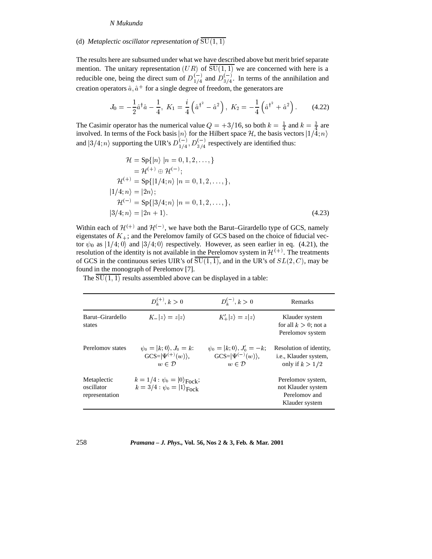# (d) *Metaplectic oscillator representation of*  $\overline{SU(1,1)}$

The results here are subsumed under what we have described above but merit brief separate mention. The unitary representation  $(UR)$  of  $\overline{SU(1,1)}$  we are concerned with here is a reducible one, being the direct sum of  $D_{1/4}^{(-)}$  and  $D_{3/4}^{(-)}$ . In terms of the annihilation and creation operators  $\hat{a}$ ,  $\hat{a}^+$  for a single degree of freedom, the generators are

$$
J_0 = -\frac{1}{2}\hat{a}^\dagger \hat{a} - \frac{1}{4}, \ K_1 = \frac{i}{4}\left(\hat{a}^{\dagger^2} - \hat{a}^2\right), \ K_2 = -\frac{1}{4}\left(\hat{a}^{\dagger^2} + \hat{a}^2\right). \tag{4.22}
$$

The Casimir operator has the numerical value  $Q = +3/16$ , so both  $k = \frac{1}{4}$  and  $k = \frac{3}{4}$  are involved. In terms of the Fock basis  $|n\rangle$  for the Hilbert space H, the basis vectors  $|1/4; n\rangle$ and  $|3/4; n\rangle$  supporting the UIR's  $D_{1/4}^{(-)}$ ,  $D_{3/4}^{(-)}$  respectively are identified thus:

$$
\mathcal{H} = \text{Sp}\{|n\rangle |n = 0, 1, 2, \dots, \}
$$
  
\n
$$
= \mathcal{H}^{(+)} \oplus \mathcal{H}^{(-)};
$$
  
\n
$$
\mathcal{H}^{(+)} = \text{Sp}\{|1/4; n\rangle |n = 0, 1, 2, \dots, \},
$$
  
\n
$$
|1/4; n\rangle = |2n\rangle;
$$
  
\n
$$
\mathcal{H}^{(-)} = \text{Sp}\{|3/4; n\rangle |n = 0, 1, 2, \dots, \},
$$
  
\n
$$
|3/4; n\rangle = |2n + 1\rangle.
$$
  
\n(4.23)

Within each of  $\mathcal{H}^{(+)}$  and  $\mathcal{H}^{(-)}$ , we have both the Barut–Girardello type of GCS, namely eigenstates of  $K_{+}$ ; and the Perelomov family of GCS based on the choice of fiducial vector  $\psi_0$  as  $|1/4; 0\rangle$  and  $|3/4; 0\rangle$  respectively. However, as seen earlier in eq. (4.21), the resolution of the identity is not available in the Perelomov system in  $\mathcal{H}^{(+)}$ . The treatments of GCS in the continuous series UIR's of  $SU(1, 1)$ , and in the UR's of  $SL(2, C)$ , may be found in the monograph of Perelomov [7].

The  $SU(1, 1)$  results assembled above can be displayed in a table:

|                                             | $D_k^{(+)}$ , $k > 0$                                                                              | $D_k^{(-)}$ , $k>0$                                                                        | Remarks                                                                       |
|---------------------------------------------|----------------------------------------------------------------------------------------------------|--------------------------------------------------------------------------------------------|-------------------------------------------------------------------------------|
| Barut-Girardello<br>states                  | $K_{-} z\rangle = z z\rangle$                                                                      | $K'_{+} z\rangle = z z\rangle$                                                             | Klauder system<br>for all $k > 0$ ; not a<br>Perelomov system                 |
| Perelomov states                            | $\psi_0= k;0\rangle, J_0=k$ :<br>$GCS= \Psi^{(+)}(w)\rangle,$<br>$w \in \mathcal{D}$               | $\psi_0 =  k; 0\rangle, J'_0 = -k;$<br>$GCS= \Psi^{(-)}(w)\rangle,$<br>$w \in \mathcal{D}$ | Resolution of identity,<br><i>i.e.</i> , Klauder system,<br>only if $k > 1/2$ |
| Metaplectic<br>oscillator<br>representation | $k = 1/4$ : $\psi_0 =  0\rangle_{\text{Fock}}$ ;<br>$k = 3/4$ : $\psi_0 =  1\rangle_{\text{Fock}}$ |                                                                                            | Perelomov system,<br>not Klauder system<br>Perelomov and<br>Klauder system    |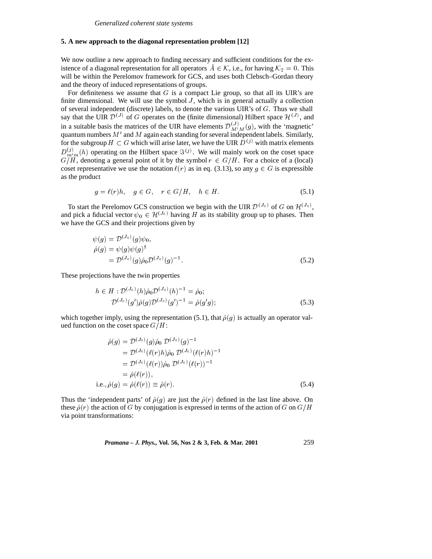### **5. A new approach to the diagonal representation problem [12]**

We now outline a new approach to finding necessary and sufficient conditions for the existence of a diagonal representation for all operators  $\hat{A} \in \mathcal{K}$ , i.e., for having  $\mathcal{K}_2 = 0$ . This istence of a diagonal representation for all operators  $\tilde{A} \in \mathcal{K}$ , i.e., for having  $\mathcal{K}_2 = 0$ . This will be within the Perelomov framework for GCS, and uses both Clebsch–Gordan theory and the theory of induced re and the theory of induced representations of groups.

For definiteness we assume that  $G$  is a compact Lie group, so that all its UIR's are finite dimensional. We will use the symbol  $J$ , which is in general actually a collection of several independent (discrete) labels, to denote the various UIR's of G. Thus we shall say that the UIR  $\mathcal{D}^{(J)}$  of G operates on the (finite dimensional) Hilbert space  $\mathcal{H}^{(J)}$ , and in a suitable basis the matrices of the UIR have elements  $\mathcal{D}_{M'M}^{(J)}(g)$ , with the 'magnetic' quantum numbers  $M'$  and  $M$  again each standing for several independent labels. Similarly, for the subgroup  $H \subset G$  which will arise later, we have the UIR  $D^{(j)}$  with matrix elements  $D_{m'm}^{(j)}(h)$  operating on the Hilbert space  $\Im^{(j)}$ . We will mainly work on the coset space  $G/H$ , denoting a general point of it by the symbol  $r \in G/H$ . For a choice of a (local) coset representative we use the notation  $\ell(r)$  as in eq. (3.13), so any  $g \in G$  is expressible as the product

$$
g = \ell(r)h, \quad g \in G, \quad r \in G/H, \quad h \in H. \tag{5.1}
$$

To start the Perelomov GCS construction we begin with the UIR  $\mathcal{D}^{(J_0)}$  of G on  $\mathcal{H}^{(J_0)}$ , and pick a fiducial vector  $\psi_0 \in H^{(J_0)}$  having H as its stability group up to phases. Then we have the GCS and their projections given by we have the GCS and their projections given by

$$
\psi(g) = \mathcal{D}^{(J_0)}(g)\psi_0,\n\hat{\rho}(g) = \psi(g)\psi(g)^{\dagger}\n= \mathcal{D}^{(J_0)}(g)\hat{\rho}_0 \mathcal{D}^{(J_0)}(g)^{-1}.
$$
\n(5.2)

These projections have the twin properties

$$
h \in H : \mathcal{D}^{(J_0)}(h)\hat{\rho}_0 \mathcal{D}^{(J_0)}(h)^{-1} = \hat{\rho}_0;
$$
  

$$
\mathcal{D}^{(J_0)}(g')\hat{\rho}(g)\mathcal{D}^{(J_0)}(g')^{-1} = \hat{\rho}(g'g);
$$
 (5.3)

which together imply, using the representation (5.1), that  $\hat{\rho}(g)$  is actually an operator valued function on the coset space  $G/H$ :

$$
\hat{\rho}(g) = \mathcal{D}^{(J_0)}(g)\hat{\rho}_0 \mathcal{D}^{(J_0)}(g)^{-1} \n= \mathcal{D}^{(J_0)}(\ell(r)h)\hat{\rho}_0 \mathcal{D}^{(J_0)}(\ell(r)h)^{-1} \n= \mathcal{D}^{(J_0)}(\ell(r))\hat{\rho}_0 \mathcal{D}^{(J_0)}(\ell(r))^{-1} \n= \hat{\rho}(\ell(r)), \ni.e., \hat{\rho}(g) = \hat{\rho}(\ell(r)) \equiv \hat{\rho}(r).
$$
\n(5.4)

Thus the 'independent parts' of  $\hat{\rho}(g)$  are just the  $\hat{\rho}(r)$  defined in the last line above. On these  $\hat{\rho}(r)$  the action of G by conjugation is expressed in terms of the action of G on  $G/H$ via point transformations:

*Pramana – J. Phys.,* **Vol. 56, Nos 2 & 3, Feb. & Mar. 2001** 259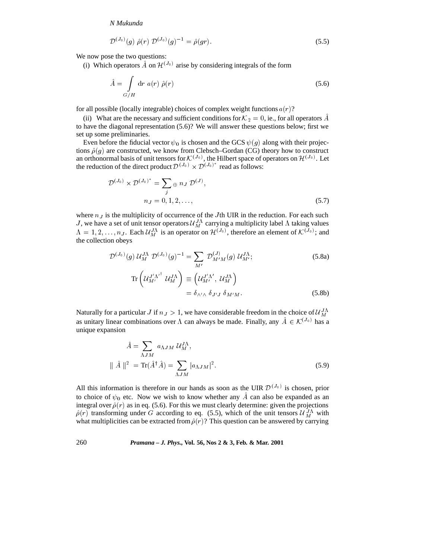$$
\mathcal{D}^{(J_0)}(g) \hat{\rho}(r) \mathcal{D}^{(J_0)}(g)^{-1} = \hat{\rho}(gr). \tag{5.5}
$$

We now pose the two questions:

(i) Which operators A on  $\mathcal{H}^{(J_0)}$  arise by considering integrals of the form

$$
\hat{A} = \int_{G/H} dr \ a(r) \ \hat{\rho}(r) \tag{5.6}
$$

for all possible (locally integrable) choices of complex weight functions  $a(r)$ ?

(ii) What are the necessary and sufficient conditions for  $K_2 = 0$ , ie., for all operators A to have the diagonal representation (5.6)? We will answer these questions below; first we set up some preliminaries.

Even before the fiducial vector  $\psi_0$  is chosen and the GCS  $\psi(g)$  along with their projections  $\hat{\rho}(g)$  are constructed, we know from Clebsch–Gordan (CG) theory how to construct an orthonormal basis of unit tensors for  $\mathcal{K}^{(J_0)}$ , the Hilbert space of operators on  $\mathcal{H}^{(J_0)}$ . Let

the reduction of the direct product 
$$
\mathcal{D}^{(J_0)} \times \mathcal{D}^{(J_0)^*}
$$
 read as follows:  
\n
$$
\mathcal{D}^{(J_0)} \times \mathcal{D}^{(J_0)^*} = \sum_j \oplus n_J \mathcal{D}^{(J)},
$$
\n
$$
n_J = 0, 1, 2, ..., \qquad (5.7)
$$

where  $n<sub>J</sub>$  is the multiplicity of occurrence of the Jth UIR in the reduction. For each such J, we have a set of unit tensor operators  $\mathcal{U}_{M}^{J\Lambda}$  carrying a multiplicity label  $\Lambda$  taking values  $\Lambda = 1, 2, \ldots, n_J$ . Each  $\mathcal{U}_{M}^{J\Lambda}$  is an operator on  $\mathcal{H}^{(J_0)}$ , therefore an element of  $\mathcal{K}^{(J_0)}$ ; and the collection obeys

$$
\mathcal{D}^{(J_0)}(g) \mathcal{U}_M^{J\Lambda} \mathcal{D}^{(J_0)}(g)^{-1} = \sum_{M'} \mathcal{D}^{(J)}_{M'M}(g) \mathcal{U}_{M'}^{J\Lambda};
$$
\n(5.8a)

$$
\operatorname{Tr}\left(\mathcal{U}_{M'}^{J'A'}\ \mathcal{U}_{M}^{J\Lambda}\right) \equiv \left(\mathcal{U}_{M'}^{J'\Lambda'},\ \mathcal{U}_{M}^{J\Lambda}\right) \n= \delta_{\wedge'\wedge}\ \delta_{J'J}\ \delta_{M'M}.
$$
\n(5.8b)

Naturally for a particular J if  $n_J > 1$ , we have considerable freedom in the choice of  $\mathcal{U}_{M}^{J\Lambda}$ as unitary linear combinations over  $\Lambda$  can always be made. Finally, any  $A \in \mathcal{K}^{(J_0)}$  has a unique expansion unique expansion

$$
\hat{A} = \sum_{\Lambda JM} a_{\Lambda JM} \, \mathcal{U}_M^{J\Lambda},
$$

$$
\|\hat{A}\|^2 = \text{Tr}(\hat{A}^\dagger \hat{A}) = \sum_{\Lambda JM} |a_{\Lambda JM}|^2.
$$
 (5.9)

All this information is therefore in our hands as soon as the UIR  $\mathcal{D}^{(J_0)}$  is chosen, prior to choice of  $\psi_0$  etc. Now we wish to know whether any  $\ddot{A}$  can also be expanded as an integral over  $\hat{\rho}(r)$  as in eq. (5.6). For this we must clearly determine: given the projections  $\hat{\rho}(r)$  transforming under G according to eq. (5.5), which of the unit tensors  $\mathcal{U}_{M}^{J\Lambda}$  with what multiplicities can be extracted from  $\hat{\rho}(r)$ ? This question can be answered by carrying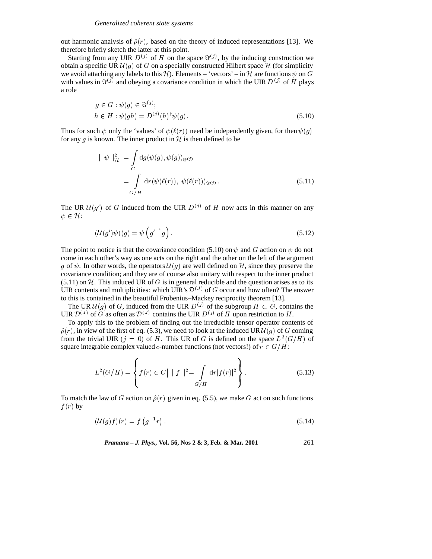<sup>Z</sup>

out harmonic analysis of  $\hat{\rho}(r)$ , based on the theory of induced representations [13]. We therefore briefly sketch the latter at this point.

Starting from any UIR  $D^{(j)}$  of H on the space  $\Im^{(j)}$ , by the inducing construction we obtain a specific UR  $\mathcal{U}(g)$  of G on a specially constructed Hilbert space  $\mathcal{H}$  (for simplicity we avoid attaching any labels to this H). Elements – 'vectors' – in H are functions  $\psi$  on  $G$ with values in  $\mathfrak{F}^{(j)}$  and obeying a covariance condition in which the UIR D  $^{(j)}$  of H plays a role

$$
g \in G : \psi(g) \in \mathfrak{S}^{(j)}; h \in H : \psi(gh) = D^{(j)}(h)^{\dagger} \psi(g).
$$
 (5.10)

Thus for such  $\psi$  only the 'values' of  $\psi(\ell(r))$  need be independently given, for then  $\psi(g)$ for any g is known. The inner product in  $H$  is then defined to be

$$
\|\psi\|_{\mathcal{H}}^2 = \int\limits_G \mathrm{d}g(\psi(g), \psi(g))_{\Im^{(j)}}
$$
  
= 
$$
\int\limits_{G/H} \mathrm{d}r(\psi(\ell(r)), \psi(\ell(r)))_{\Im^{(j)}}.
$$
 (5.11)

The UR  $\mathcal{U}(g')$  of G induced from the UIR  $D^{(j)}$  of H now acts in this manner on any  $\psi \in \mathcal{H}$ :

$$
\left(\mathcal{U}(g')\psi\right)(g) = \psi\left(g'^{-1}g\right). \tag{5.12}
$$

The point to notice is that the covariance condition (5.10) on  $\psi$  and G action on  $\psi$  do not come in each other's way as one acts on the right and the other on the left of the argument g of  $\psi$ . In other words, the operators  $\mathcal{U}(g)$  are well defined on  $\mathcal{H}$ , since they preserve the covariance condition; and they are of course also unitary with respect to the inner product  $(5.11)$  on H. This induced UR of G is in general reducible and the question arises as to its UIR contents and multiplicities: which UIR's  $\mathcal{D}^{(J)}$  of G occur and how often? The answer to this is contained in the beautiful Frobenius–Mackey reciprocity theorem [13].

The UR  $\mathcal{U}(g)$  of G, induced from the UIR  $D^{(j)}$  of the subgroup  $H \subset G$ , contains the UIR  $\mathcal{D}^{(J)}$  of G as often as  $\mathcal{D}^{(J)}$  contains the UIR  $D^{(j)}$  of H upon restriction to H.

To apply this to the problem of finding out the irreducible tensor operator contents of  $\hat{\rho}(r)$ , in view of the first of eq. (5.3), we need to look at the induced UR  $\mathcal{U}(g)$  of G coming from the trivial UIR  $(j = 0)$  of H. This UR of G is defined on the space  $L^2(G/H)$  of square integrable complex valued c-number functions (not vectors!) of  $r \in G/H$ :

and the state of the state of the state of the state of the state of the state of the state of the state of the

$$
L^{2}(G/H) = \left\{ f(r) \in C \mid ||f||^{2} = \int \limits_{G/H} dr |f(r)|^{2} \right\}.
$$
 (5.13)

**99 For the Contract of Contract Contract Contract Contract Contract Contract Contract Contract Contract Contract Contract Contract Contract Contract Contract Contract Contract Contract Contract Contract Contract Contract** 

To match the law of G action on  $\hat{\rho}(r)$  given in eq. (5.5), we make G act on such functions  $f(r)$  by

$$
\left(\mathcal{U}(g)f\right)(r) = f\left(g^{-1}r\right). \tag{5.14}
$$

*Pramana – J. Phys.,* **Vol. 56, Nos 2 & 3, Feb. & Mar. 2001** 261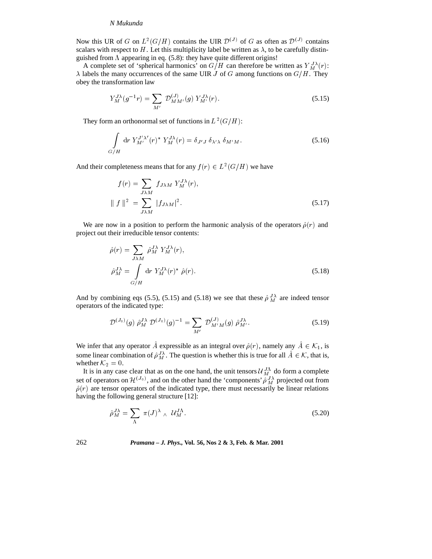Now this UR of G on  $L^2(G/H)$  contains the UIR  $\mathcal{D}^{(J)}$  of G as often as  $\mathcal{D}^{(J)}$  contains scalars with respect to H. Let this multiplicity label be written as  $\lambda$ , to be carefully distinguished from  $\Lambda$  appearing in eq. (5.8): they have quite different origins!

A complete set of 'spherical harmonics' on  $G/H$  can therefore be written as  $Y_M^{\Lambda\lambda}(r)$ :  $\lambda$  labels the many occurrences of the same UIR J of G among functions on  $G/H$ . They obey the transformation law

$$
Y_M^{J\lambda}(g^{-1}r) = \sum_{M'} \mathcal{D}_{MM'}^{(J)}(g) Y_{M'}^{J\lambda}(r). \tag{5.15}
$$

They form an orthonormal set of functions in  $L^2(G/H)$ :

$$
\int_{G/H} \mathrm{d}r \ Y_{M'}^{J'\lambda'}(r)^* \ Y_M^{J\lambda}(r) = \delta_{J'J} \ \delta_{\lambda'\lambda} \ \delta_{M'M}.\tag{5.16}
$$

And their completeness means that for any  $f(r) \in L^2(G/H)$  we have

$$
f(r) = \sum_{J\lambda M} f_{J\lambda M} Y_M^{J\lambda}(r),
$$
  
 
$$
\| f \|^2 = \sum_{J\lambda M} |f_{J\lambda M}|^2.
$$
 (5.17)

We are now in a position to perform the harmonic analysis of the operators  $\hat{\rho}(r)$  and project out their irreducible tensor contents:

$$
\hat{\rho}(r) = \sum_{J\lambda M} \hat{\rho}_M^{J\lambda} Y_M^{J\lambda}(r),
$$
  
\n
$$
\hat{\rho}_M^{J\lambda} = \int_{G/H} dr Y_M^{J\lambda}(r)^* \hat{\rho}(r).
$$
\n(5.18)

And by combining eqs (5.5), (5.15) and (5.18) we see that these  $\hat{\rho}^J{}_M{}^{\lambda}$  are indeed tensor operators of the indicated type:

$$
\mathcal{D}^{(J_0)}(g) \hat{\rho}_M^{J\lambda} \mathcal{D}^{(J_0)}(g)^{-1} = \sum_{M'} \mathcal{D}_{M'M}^{(J)}(g) \hat{\rho}_{M'}^{J\lambda}.
$$
 (5.19)

We infer that any operator A expressible as an integral over  $\hat{\rho}(r)$ , namely any  $A \in \mathcal{K}_1$ , is<br>some linear combination of  $\hat{\rho}_M^{J\lambda}$ . The question is whether this is true for all  $\hat{A} \in \mathcal{K}$ , that is,<br>whether whether  $\mathcal{K}_2 = 0$ .

It is in any case clear that as on the one hand, the unit tensors  $\mathcal{U}_M^{J\Lambda}$  do form a complete set of operators on  $\mathcal{H}^{(J_0)}$ , and on the other hand the 'components'  $\hat{\rho}_M^{J\lambda}$  projected out from  $\hat{\rho}(r)$  are tensor operators of the indicated type, there must necessarily be linear relations having the following general structure [12]:

$$
\hat{\rho}_M^{J\lambda} = \sum_{\Lambda} \pi(J)^\lambda \wedge \mathcal{U}_M^{J\Lambda}.
$$
\n(5.20)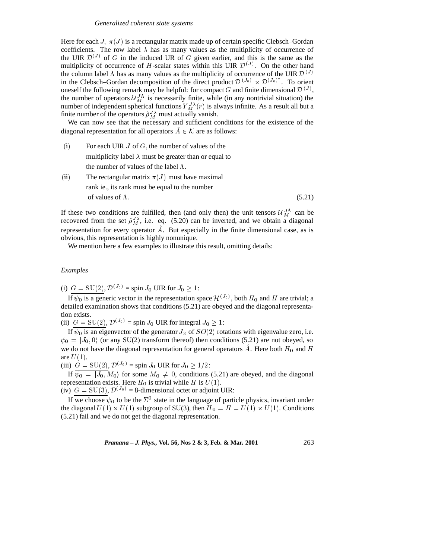#### *Generalized coherent state systems*

Here for each J,  $\pi(J)$  is a rectangular matrix made up of certain specific Clebsch–Gordan coefficients. The row label  $\lambda$  has as many values as the multiplicity of occurrence of the UIR  $\mathcal{D}^{(J)}$  of G in the induced UR of G given earlier, and this is the same as the multiplicity of occurrence of H-scalar states within this UIR  $\mathcal{D}^{(J)}$ . On the other hand the column label  $\Lambda$  has as many values as the multiplicity of occurrence of the UIR  $\mathcal{D}^{(J)}$ in the Clebsch–Gordan decomposition of the direct product  $\mathcal{D}^{(J_0)} \times \mathcal{D}^{(J_0)^*}$ . To orient in the Clebsch–Gordan decomposition of the direct product  $\mathcal{D}^{(J_0)} \times \mathcal{D}^{(J_0)}$ . To orient<br>oneself the following remark may be helpful: for compact G and finite dimensional  $\mathcal{D}^{(J)}$ ,<br>the number of operators  $\math$ the number of operators  $\mathcal{U}_{M}^{J\Lambda}$  is necessarily finite, while (in any nontrivial situation) the number of independent spherical functions  $Y_M^{J\lambda}(r)$  is always infinite. As a result all but a finite number of the operators  $\hat{\rho}^{\,J\lambda}_{\,M}$  must actually vanish.

We can now see that the necessary and sufficient conditions for the existence of the diagonal representation for all operators  $A \in \mathcal{K}$  are as follows:<br>(i) For each UIR *J* of *G* the number of values of the

- (i) For each UIR  $J$  of  $G$ , the number of values of the multiplicity label  $\lambda$  must be greater than or equal to the number of values of the label  $\Lambda$ .
- (ii) The rectangular matrix  $\pi(J)$  must have maximal rank ie., its rank must be equal to the number of values of  $\Lambda$ . (5.21)

If these two conditions are fulfilled, then (and only then) the unit tensors  $\mathcal{U}_M^{J\Lambda}$  can be recovered from the set  $\hat{\rho}_M^{\jmath\lambda}$ , i.e. eq. (5.20) can be inverted, and we obtain a diagonal representation for every operator  $\tilde{A}$ . But especially in the finite dimensional case, as is obvious, this representation is highly nonunique.

We mention here a few examples to illustrate this result, omitting details:

### *Examples*

(i)  $G = SU(2), \mathcal{D}^{(J_0)} = \text{spin } J_0 \text{ UIR for } J_0 \geq 1$ :

If  $\psi_0$  is a generic vector in the representation space  $\mathcal{H}^{(J_0)}$ , both  $H_0$  and H are trivial; a detailed examination shows that conditions (5.21) are obeyed and the diagonal representation exists.

(ii)  $G = SU(2), \mathcal{D}^{(J_0)} = \text{spin } J_0$  UIR for integral  $J_0 \geq 1$ :

If  $\psi_0$  is an eigenvector of the generator  $J_3$  of  $SO(2)$  rotations with eigenvalue zero, i.e.  $\psi_0 = |J_0, 0\rangle$  (or any SU(2) transform thereof) then conditions (5.21) are not obeyed, so we do not have the diagonal representation for general operators  $\hat{A}$ . Here both  $H_0$  and  $H$ are  $U(1)$ .

(iii)  $G = SU(2), \mathcal{D}^{(J_0)} = \text{spin } J_0 \text{ UIR for } J_0 \geq 1/2$ :

If  $\overline{\psi_0} = |J_0, M_0\rangle$  for some  $M_0 \neq 0$ , conditions (5.21) are obeyed, and the diagonal representation exists. Here  $H_0$  is trivial while H is  $U(1)$ .

(iv)  $G = SU(3), \mathcal{D}^{(J_0)} = 8$ -dimensional octet or adjoint UIR:

If we choose  $\psi_0$  to be the  $\Sigma^0$  state in the language of particle physics, invariant under the diagonal  $U(1) \times U(1)$  subgroup of SU(3), then  $H_0 = H = U(1) \times U(1)$ . Conditions (5.21) fail and we do not get the diagonal representation.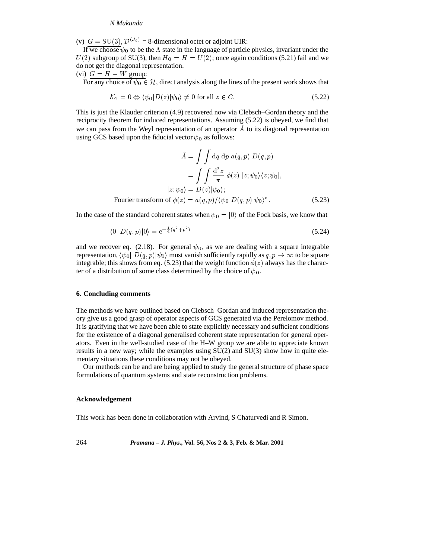(v)  $G = SU(3), \mathcal{D}^{(J_0)} = 8$ -dimensional octet or adjoint UIR:

If we choose  $\psi_0$  to be the  $\Lambda$  state in the language of particle physics, invariant under the  $U(2)$  subgroup of SU(3), then  $H_0 = H = U(2)$ ; once again conditions (5.21) fail and we do not get the diagonal representation.

(vi)  $G = H - W$  group:

For any choice of  $\psi_0 \in \mathcal{H}$ , direct analysis along the lines of the present work shows that<br>  $K_2 = 0 \Leftrightarrow \langle \psi_0 | D(z) | \psi_0 \rangle \neq 0$  for all  $z \in C$  (5.22)

$$
\mathcal{K}_2 = 0 \Leftrightarrow \langle \psi_0 | D(z) | \psi_0 \rangle \neq 0 \text{ for all } z \in C. \tag{5.22}
$$

 $K_2 = 0 \Leftrightarrow \langle \psi_0 | D(z) | \psi_0 \rangle \neq 0$  for all  $z \in C$ . (5.22)<br>This is just the Klauder criterion (4.9) recovered now via Clebsch–Gordan theory and the reciprocity theorem for induced representations. Assuming (5.22) is obeyed, we find that we can pass from the Weyl representation of an operator  $\hat{A}$  to its diagonal representation using GCS based upon the fiducial vector  $\psi_0$  as follows:

$$
\hat{A} = \int \int \mathrm{d}q \, \mathrm{d}p \, a(q, p) \, D(q, p)
$$

$$
= \int \int \frac{\mathrm{d}^2 z}{\pi} \, \phi(z) \, |z; \psi_0\rangle\langle z; \psi_0|,
$$

$$
|z; \psi_0\rangle = D(z)|\psi_0\rangle;
$$
Fourier transform of  $\phi(z) = a(q, p) / \langle \psi_0 | D(q, p) | \psi_0 \rangle^*$ . (5.23)

<sup>Z</sup> <sup>Z</sup>

In the case of the standard coherent states when  $\psi_0 = |0\rangle$  of the Fock basis, we know that

$$
\langle 0| D(q, p)|0 \rangle = e^{-\frac{1}{4}(q^2 + p^2)} \tag{5.24}
$$

and we recover eq. (2.18). For general  $\psi_0$ , as we are dealing with a square integrable representation,  $\langle \psi_0 | D(q, p) | \psi_0 \rangle$  must vanish sufficiently rapidly as  $q, p \to \infty$  to be square integrable; this shows from eq. (5.23) that the weight function  $\phi(z)$  always has the charac-<br>ter of a distribution of some ter of a distribution of some class determined by the choice of  $\psi_0$ .

#### **6. Concluding comments**

The methods we have outlined based on Clebsch–Gordan and induced representation theory give us a good grasp of operator aspects of GCS generated via the Perelomov method. It is gratifying that we have been able to state explicitly necessary and sufficient conditions for the existence of a diagonal generalised coherent state representation for general operators. Even in the well-studied case of the H–W group we are able to appreciate known results in a new way; while the examples using  $SU(2)$  and  $SU(3)$  show how in quite elementary situations these conditions may not be obeyed.

Our methods can be and are being applied to study the general structure of phase space formulations of quantum systems and state reconstruction problems.

### **Acknowledgement**

This work has been done in collaboration with Arvind, S Chaturvedi and R Simon.